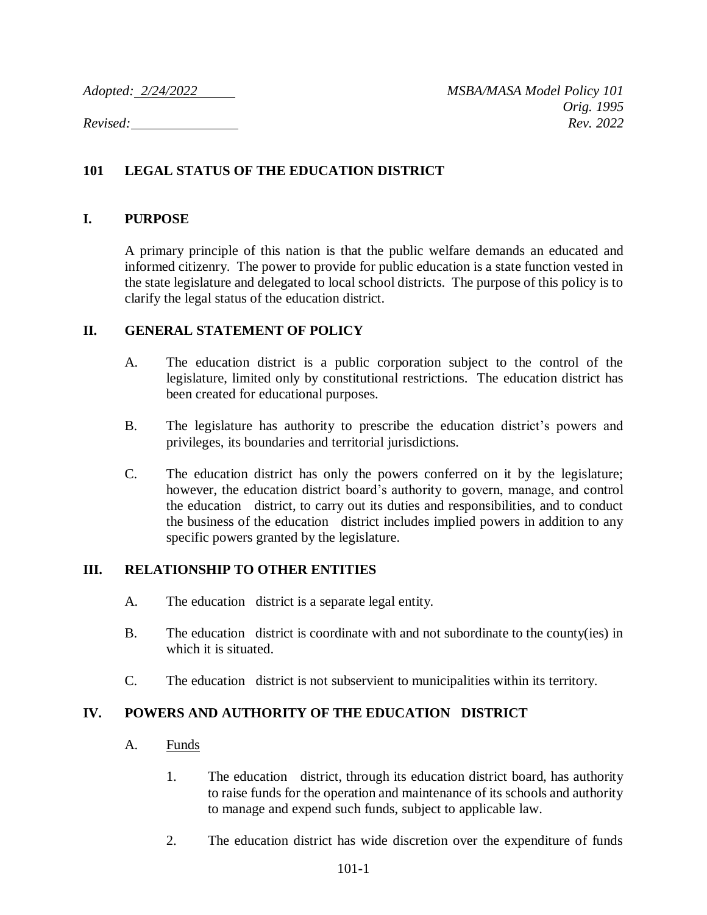### **101 LEGAL STATUS OF THE EDUCATION DISTRICT**

#### **I. PURPOSE**

A primary principle of this nation is that the public welfare demands an educated and informed citizenry. The power to provide for public education is a state function vested in the state legislature and delegated to local school districts. The purpose of this policy is to clarify the legal status of the education district.

#### **II. GENERAL STATEMENT OF POLICY**

- A. The education district is a public corporation subject to the control of the legislature, limited only by constitutional restrictions. The education district has been created for educational purposes.
- B. The legislature has authority to prescribe the education district's powers and privileges, its boundaries and territorial jurisdictions.
- C. The education district has only the powers conferred on it by the legislature; however, the education district board's authority to govern, manage, and control the education district, to carry out its duties and responsibilities, and to conduct the business of the education district includes implied powers in addition to any specific powers granted by the legislature.

#### **III. RELATIONSHIP TO OTHER ENTITIES**

- A. The education district is a separate legal entity.
- B. The education district is coordinate with and not subordinate to the county(ies) in which it is situated.
- C. The education district is not subservient to municipalities within its territory.

### **IV. POWERS AND AUTHORITY OF THE EDUCATION DISTRICT**

- A. Funds
	- 1. The education district, through its education district board, has authority to raise funds for the operation and maintenance of its schools and authority to manage and expend such funds, subject to applicable law.
	- 2. The education district has wide discretion over the expenditure of funds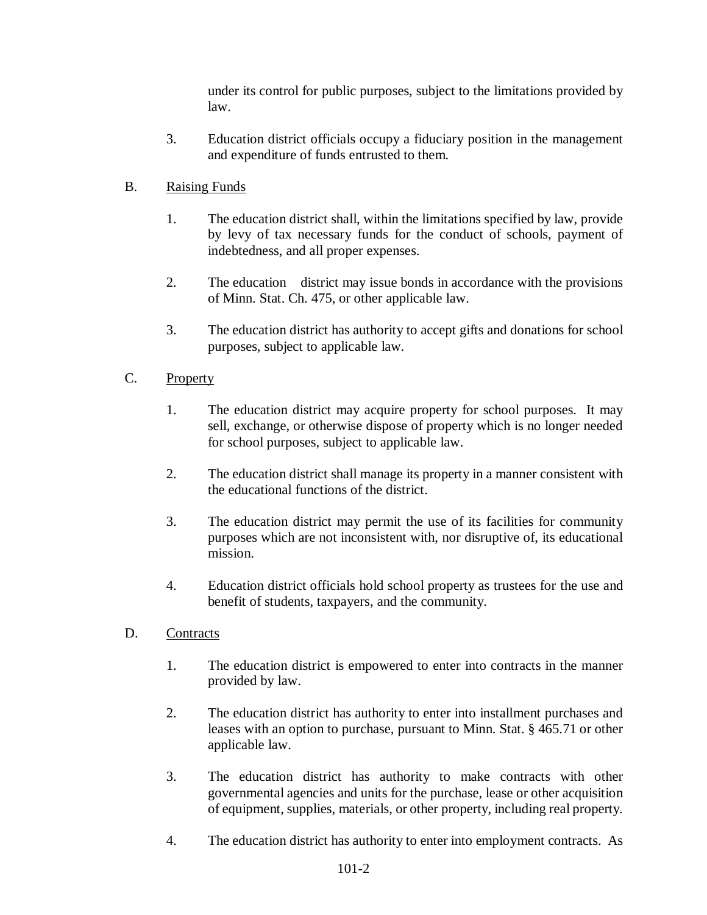under its control for public purposes, subject to the limitations provided by law.

3. Education district officials occupy a fiduciary position in the management and expenditure of funds entrusted to them.

## B. Raising Funds

- 1. The education district shall, within the limitations specified by law, provide by levy of tax necessary funds for the conduct of schools, payment of indebtedness, and all proper expenses.
- 2. The education district may issue bonds in accordance with the provisions of Minn. Stat. Ch. 475, or other applicable law.
- 3. The education district has authority to accept gifts and donations for school purposes, subject to applicable law.

# C. Property

- 1. The education district may acquire property for school purposes. It may sell, exchange, or otherwise dispose of property which is no longer needed for school purposes, subject to applicable law.
- 2. The education district shall manage its property in a manner consistent with the educational functions of the district.
- 3. The education district may permit the use of its facilities for community purposes which are not inconsistent with, nor disruptive of, its educational mission.
- 4. Education district officials hold school property as trustees for the use and benefit of students, taxpayers, and the community.
- D. Contracts
	- 1. The education district is empowered to enter into contracts in the manner provided by law.
	- 2. The education district has authority to enter into installment purchases and leases with an option to purchase, pursuant to Minn. Stat. § 465.71 or other applicable law.
	- 3. The education district has authority to make contracts with other governmental agencies and units for the purchase, lease or other acquisition of equipment, supplies, materials, or other property, including real property.
	- 4. The education district has authority to enter into employment contracts. As